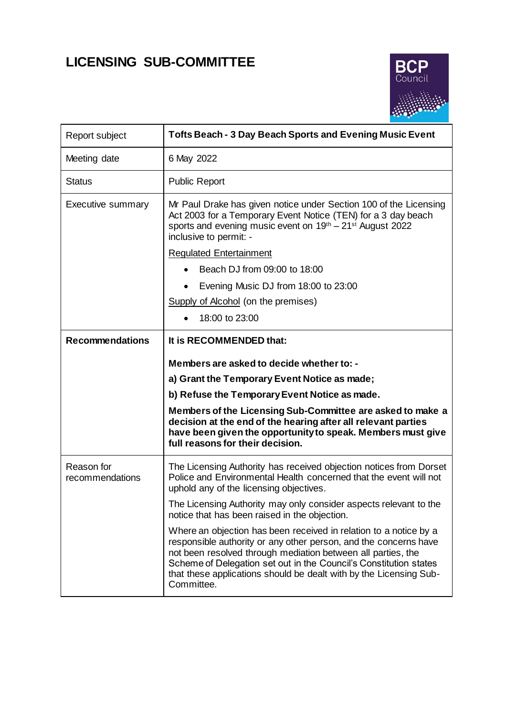# **LICENSING SUB-COMMITTEE**



| Report subject                | <b>Tofts Beach - 3 Day Beach Sports and Evening Music Event</b>                                                                                                                                                                                                                                                                                                |
|-------------------------------|----------------------------------------------------------------------------------------------------------------------------------------------------------------------------------------------------------------------------------------------------------------------------------------------------------------------------------------------------------------|
| Meeting date                  | 6 May 2022                                                                                                                                                                                                                                                                                                                                                     |
| Status                        | <b>Public Report</b>                                                                                                                                                                                                                                                                                                                                           |
| <b>Executive summary</b>      | Mr Paul Drake has given notice under Section 100 of the Licensing<br>Act 2003 for a Temporary Event Notice (TEN) for a 3 day beach<br>sports and evening music event on 19 <sup>th</sup> – 21 <sup>st</sup> August 2022<br>inclusive to permit: -                                                                                                              |
|                               | <b>Regulated Entertainment</b>                                                                                                                                                                                                                                                                                                                                 |
|                               | Beach DJ from 09:00 to 18:00                                                                                                                                                                                                                                                                                                                                   |
|                               | Evening Music DJ from 18:00 to 23:00                                                                                                                                                                                                                                                                                                                           |
|                               | Supply of Alcohol (on the premises)                                                                                                                                                                                                                                                                                                                            |
|                               | 18:00 to 23:00                                                                                                                                                                                                                                                                                                                                                 |
| <b>Recommendations</b>        | It is RECOMMENDED that:                                                                                                                                                                                                                                                                                                                                        |
|                               | Members are asked to decide whether to: -                                                                                                                                                                                                                                                                                                                      |
|                               | a) Grant the Temporary Event Notice as made;                                                                                                                                                                                                                                                                                                                   |
|                               | b) Refuse the Temporary Event Notice as made.                                                                                                                                                                                                                                                                                                                  |
|                               | Members of the Licensing Sub-Committee are asked to make a<br>decision at the end of the hearing after all relevant parties<br>have been given the opportunity to speak. Members must give<br>full reasons for their decision.                                                                                                                                 |
| Reason for<br>recommendations | The Licensing Authority has received objection notices from Dorset<br>Police and Environmental Health concerned that the event will not<br>uphold any of the licensing objectives.                                                                                                                                                                             |
|                               | The Licensing Authority may only consider aspects relevant to the<br>notice that has been raised in the objection.                                                                                                                                                                                                                                             |
|                               | Where an objection has been received in relation to a notice by a<br>responsible authority or any other person, and the concerns have<br>not been resolved through mediation between all parties, the<br>Scheme of Delegation set out in the Council's Constitution states<br>that these applications should be dealt with by the Licensing Sub-<br>Committee. |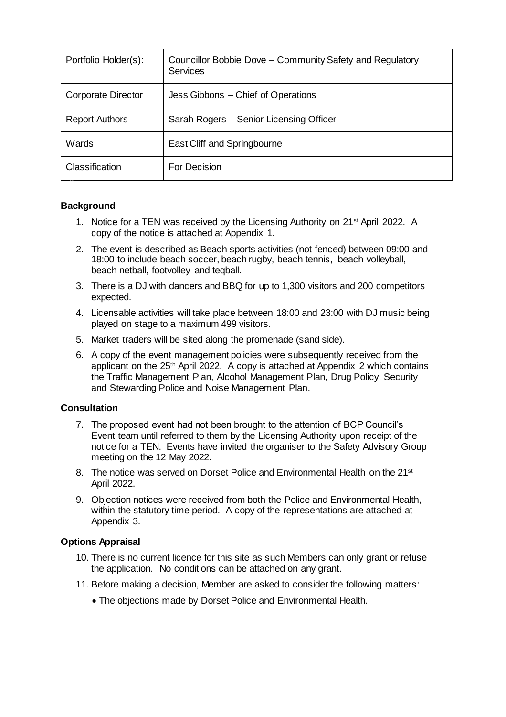| Portfolio Holder(s):      | Councillor Bobbie Dove – Community Safety and Regulatory<br><b>Services</b> |
|---------------------------|-----------------------------------------------------------------------------|
| <b>Corporate Director</b> | Jess Gibbons - Chief of Operations                                          |
| <b>Report Authors</b>     | Sarah Rogers - Senior Licensing Officer                                     |
| Wards                     | East Cliff and Springbourne                                                 |
| Classification            | For Decision                                                                |

# **Background**

- 1. Notice for a TEN was received by the Licensing Authority on 21st April 2022. A copy of the notice is attached at Appendix 1.
- 2. The event is described as Beach sports activities (not fenced) between 09:00 and 18:00 to include beach soccer, beach rugby, beach tennis, beach volleyball, beach netball, footvolley and teqball.
- 3. There is a DJ with dancers and BBQ for up to 1,300 visitors and 200 competitors expected.
- 4. Licensable activities will take place between 18:00 and 23:00 with DJ music being played on stage to a maximum 499 visitors.
- 5. Market traders will be sited along the promenade (sand side).
- 6. A copy of the event management policies were subsequently received from the applicant on the 25<sup>th</sup> April 2022. A copy is attached at Appendix 2 which contains the Traffic Management Plan, Alcohol Management Plan, Drug Policy, Security and Stewarding Police and Noise Management Plan.

#### **Consultation**

- 7. The proposed event had not been brought to the attention of BCP Council's Event team until referred to them by the Licensing Authority upon receipt of the notice for a TEN. Events have invited the organiser to the Safety Advisory Group meeting on the 12 May 2022.
- 8. The notice was served on Dorset Police and Environmental Health on the 21<sup>st</sup> April 2022.
- 9. Objection notices were received from both the Police and Environmental Health, within the statutory time period. A copy of the representations are attached at Appendix 3.

#### **Options Appraisal**

- 10. There is no current licence for this site as such Members can only grant or refuse the application. No conditions can be attached on any grant.
- 11. Before making a decision, Member are asked to consider the following matters:
	- The objections made by Dorset Police and Environmental Health.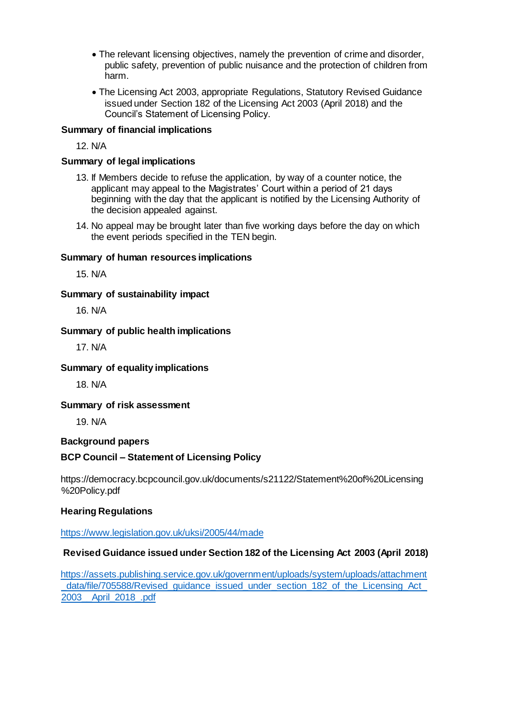- The relevant licensing objectives, namely the prevention of crime and disorder, public safety, prevention of public nuisance and the protection of children from harm.
- The Licensing Act 2003, appropriate Regulations, Statutory Revised Guidance issued under Section 182 of the Licensing Act 2003 (April 2018) and the Council's Statement of Licensing Policy.

### **Summary of financial implications**

12. N/A

#### **Summary of legal implications**

- 13. If Members decide to refuse the application, by way of a counter notice, the applicant may appeal to the Magistrates' Court within a period of 21 days beginning with the day that the applicant is notified by the Licensing Authority of the decision appealed against.
- 14. No appeal may be brought later than five working days before the day on which the event periods specified in the TEN begin.

#### **Summary of human resources implications**

15. N/A

#### **Summary of sustainability impact**

16. N/A

#### **Summary of public health implications**

17. N/A

#### **Summary of equality implications**

18. N/A

#### **Summary of risk assessment**

19. N/A

#### **Background papers**

# **BCP Council – Statement of Licensing Policy**

https://democracy.bcpcouncil.gov.uk/documents/s21122/Statement%20of%20Licensing %20Policy.pdf

# **Hearing Regulations**

<https://www.legislation.gov.uk/uksi/2005/44/made>

# **Revised Guidance issued under Section 182 of the Licensing Act 2003 (April 2018)**

[https://assets.publishing.service.gov.uk/government/uploads/system/uploads/attachment](https://assets.publishing.service.gov.uk/government/uploads/system/uploads/attachment%20_data/file/705588/Revised_guidance_issued_under_section_182_of_the_Licensing_Act_%202003__April_2018_.pdf)  data/file/705588/Revised\_quidance\_issued\_under\_section\_182\_of\_the\_Licensing\_Act\_ [2003\\_\\_April\\_2018\\_.pdf](https://assets.publishing.service.gov.uk/government/uploads/system/uploads/attachment%20_data/file/705588/Revised_guidance_issued_under_section_182_of_the_Licensing_Act_%202003__April_2018_.pdf)